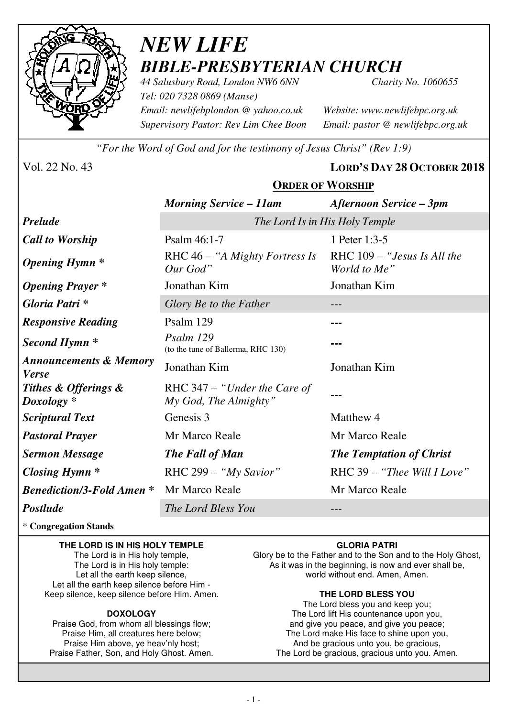

## *NEW LIFE BIBLE-PRESBYTERIAN CHURCH*

*44 Salusbury Road, London NW6 6NN Charity No. 1060655 Tel: 020 7328 0869 (Manse) Email: newlifebplondon @ yahoo.co.uk Website: www.newlifebpc.org.uk Supervisory Pastor: Rev Lim Chee Boon Email: pastor @ newlifebpc.org.uk* 

*"For the Word of God and for the testimony of Jesus Christ" (Rev 1:9)*

**ORDER OF WORSHIP**

Vol. 22 No. 43 **LORD'S DAY 28 OCTOBER 2018**

|                                                   | <b>Morning Service – 11am</b>                         | Afternoon Service – 3pm                     |  |
|---------------------------------------------------|-------------------------------------------------------|---------------------------------------------|--|
| <b>Prelude</b>                                    | The Lord Is in His Holy Temple                        |                                             |  |
| <b>Call to Worship</b>                            | Psalm 46:1-7                                          | 1 Peter 1:3-5                               |  |
| <b>Opening Hymn</b> *                             | RHC $46 - "A Might Fortress Is$<br>Our God"           | RHC 109 – "Jesus Is All the<br>World to Me" |  |
| <b>Opening Prayer</b> *                           | Jonathan Kim                                          | Jonathan Kim                                |  |
| Gloria Patri *                                    | Glory Be to the Father                                | ---                                         |  |
| <b>Responsive Reading</b>                         | Psalm 129                                             |                                             |  |
| Second Hymn *                                     | Psalm 129<br>(to the tune of Ballerma, RHC 130)       |                                             |  |
| <b>Announcements &amp; Memory</b><br><b>Verse</b> | Jonathan Kim                                          | Jonathan Kim                                |  |
| Tithes & Offerings &<br>Doxology *                | RHC 347 – "Under the Care of<br>My God, The Almighty" |                                             |  |
| <b>Scriptural Text</b>                            | Genesis 3                                             | Matthew 4                                   |  |
| <b>Pastoral Prayer</b>                            | Mr Marco Reale                                        | Mr Marco Reale                              |  |
| <b>Sermon Message</b>                             | The Fall of Man                                       | <b>The Temptation of Christ</b>             |  |
| Closing Hymn $*$                                  | RHC 299 - "My Savior"                                 | RHC 39 - "Thee Will I Love"                 |  |
| <b>Benediction/3-Fold Amen*</b>                   | Mr Marco Reale                                        | Mr Marco Reale                              |  |
| <b>Postlude</b>                                   | The Lord Bless You                                    |                                             |  |

\* **Congregation Stands** 

### **THE LORD IS IN HIS HOLY TEMPLE**

The Lord is in His holy temple, The Lord is in His holy temple: Let all the earth keep silence, Let all the earth keep silence before Him - Keep silence, keep silence before Him. Amen.

#### **DOXOLOGY**

Praise God, from whom all blessings flow; Praise Him, all creatures here below; Praise Him above, ye heav'nly host; Praise Father, Son, and Holy Ghost. Amen.

### **GLORIA PATRI**

Glory be to the Father and to the Son and to the Holy Ghost, As it was in the beginning, is now and ever shall be, world without end. Amen, Amen.

#### **THE LORD BLESS YOU**

The Lord bless you and keep you; The Lord lift His countenance upon you, and give you peace, and give you peace; The Lord make His face to shine upon you, And be gracious unto you, be gracious, The Lord be gracious, gracious unto you. Amen.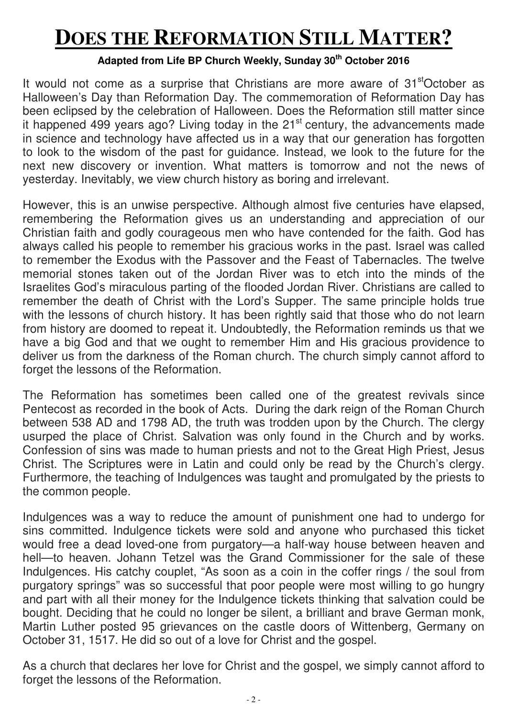# **DOES THE REFORMATION STILL MATTER?**

## **Adapted from Life BP Church Weekly, Sunday 30th October 2016**

It would not come as a surprise that Christians are more aware of 31<sup>st</sup>October as Halloween's Day than Reformation Day. The commemoration of Reformation Day has been eclipsed by the celebration of Halloween. Does the Reformation still matter since it happened 499 years ago? Living today in the  $21<sup>st</sup>$  century, the advancements made in science and technology have affected us in a way that our generation has forgotten to look to the wisdom of the past for guidance. Instead, we look to the future for the next new discovery or invention. What matters is tomorrow and not the news of yesterday. Inevitably, we view church history as boring and irrelevant.

However, this is an unwise perspective. Although almost five centuries have elapsed, remembering the Reformation gives us an understanding and appreciation of our Christian faith and godly courageous men who have contended for the faith. God has always called his people to remember his gracious works in the past. Israel was called to remember the Exodus with the Passover and the Feast of Tabernacles. The twelve memorial stones taken out of the Jordan River was to etch into the minds of the Israelites God's miraculous parting of the flooded Jordan River. Christians are called to remember the death of Christ with the Lord's Supper. The same principle holds true with the lessons of church history. It has been rightly said that those who do not learn from history are doomed to repeat it. Undoubtedly, the Reformation reminds us that we have a big God and that we ought to remember Him and His gracious providence to deliver us from the darkness of the Roman church. The church simply cannot afford to forget the lessons of the Reformation.

The Reformation has sometimes been called one of the greatest revivals since Pentecost as recorded in the book of Acts. During the dark reign of the Roman Church between 538 AD and 1798 AD, the truth was trodden upon by the Church. The clergy usurped the place of Christ. Salvation was only found in the Church and by works. Confession of sins was made to human priests and not to the Great High Priest, Jesus Christ. The Scriptures were in Latin and could only be read by the Church's clergy. Furthermore, the teaching of Indulgences was taught and promulgated by the priests to the common people.

Indulgences was a way to reduce the amount of punishment one had to undergo for sins committed. Indulgence tickets were sold and anyone who purchased this ticket would free a dead loved-one from purgatory—a half-way house between heaven and hell—to heaven. Johann Tetzel was the Grand Commissioner for the sale of these Indulgences. His catchy couplet, "As soon as a coin in the coffer rings / the soul from purgatory springs" was so successful that poor people were most willing to go hungry and part with all their money for the Indulgence tickets thinking that salvation could be bought. Deciding that he could no longer be silent, a brilliant and brave German monk, Martin Luther posted 95 grievances on the castle doors of Wittenberg, Germany on October 31, 1517. He did so out of a love for Christ and the gospel.

As a church that declares her love for Christ and the gospel, we simply cannot afford to forget the lessons of the Reformation.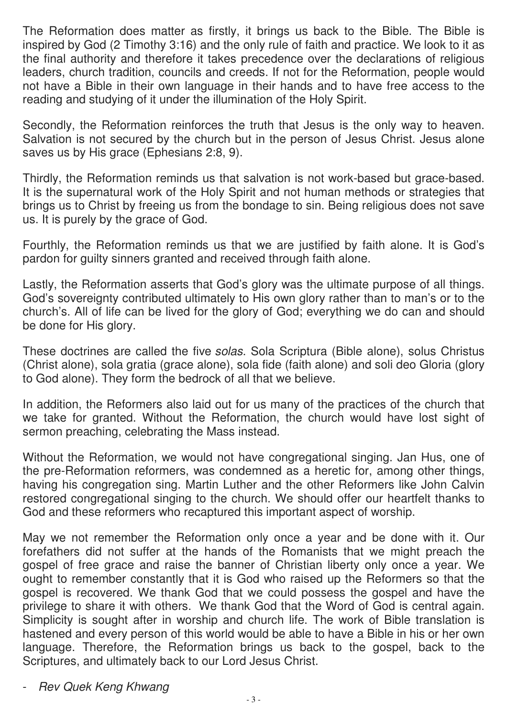The Reformation does matter as firstly, it brings us back to the Bible. The Bible is inspired by God (2 Timothy 3:16) and the only rule of faith and practice. We look to it as the final authority and therefore it takes precedence over the declarations of religious leaders, church tradition, councils and creeds. If not for the Reformation, people would not have a Bible in their own language in their hands and to have free access to the reading and studying of it under the illumination of the Holy Spirit.

Secondly, the Reformation reinforces the truth that Jesus is the only way to heaven. Salvation is not secured by the church but in the person of Jesus Christ. Jesus alone saves us by His grace (Ephesians 2:8, 9).

Thirdly, the Reformation reminds us that salvation is not work-based but grace-based. It is the supernatural work of the Holy Spirit and not human methods or strategies that brings us to Christ by freeing us from the bondage to sin. Being religious does not save us. It is purely by the grace of God.

Fourthly, the Reformation reminds us that we are justified by faith alone. It is God's pardon for guilty sinners granted and received through faith alone.

Lastly, the Reformation asserts that God's glory was the ultimate purpose of all things. God's sovereignty contributed ultimately to His own glory rather than to man's or to the church's. All of life can be lived for the glory of God; everything we do can and should be done for His glory.

These doctrines are called the five solas. Sola Scriptura (Bible alone), solus Christus (Christ alone), sola gratia (grace alone), sola fide (faith alone) and soli deo Gloria (glory to God alone). They form the bedrock of all that we believe.

In addition, the Reformers also laid out for us many of the practices of the church that we take for granted. Without the Reformation, the church would have lost sight of sermon preaching, celebrating the Mass instead.

Without the Reformation, we would not have congregational singing. Jan Hus, one of the pre-Reformation reformers, was condemned as a heretic for, among other things, having his congregation sing. Martin Luther and the other Reformers like John Calvin restored congregational singing to the church. We should offer our heartfelt thanks to God and these reformers who recaptured this important aspect of worship.

May we not remember the Reformation only once a year and be done with it. Our forefathers did not suffer at the hands of the Romanists that we might preach the gospel of free grace and raise the banner of Christian liberty only once a year. We ought to remember constantly that it is God who raised up the Reformers so that the gospel is recovered. We thank God that we could possess the gospel and have the privilege to share it with others. We thank God that the Word of God is central again. Simplicity is sought after in worship and church life. The work of Bible translation is hastened and every person of this world would be able to have a Bible in his or her own language. Therefore, the Reformation brings us back to the gospel, back to the Scriptures, and ultimately back to our Lord Jesus Christ.

- Rev Quek Keng Khwang